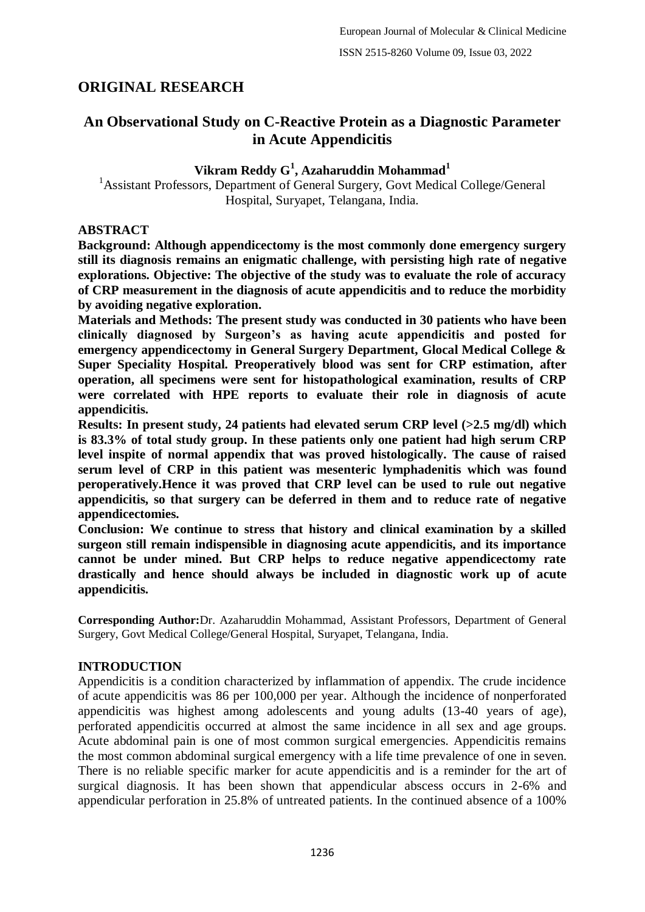# **ORIGINAL RESEARCH**

# **An Observational Study on C-Reactive Protein as a Diagnostic Parameter in Acute Appendicitis**

# **Vikram Reddy G<sup>1</sup> , Azaharuddin Mohammad<sup>1</sup>**

<sup>1</sup> Assistant Professors, Department of General Surgery, Govt Medical College/General Hospital, Suryapet, Telangana, India.

### **ABSTRACT**

**Background: Although appendicectomy is the most commonly done emergency surgery still its diagnosis remains an enigmatic challenge, with persisting high rate of negative explorations. Objective: The objective of the study was to evaluate the role of accuracy of CRP measurement in the diagnosis of acute appendicitis and to reduce the morbidity by avoiding negative exploration.**

**Materials and Methods: The present study was conducted in 30 patients who have been clinically diagnosed by Surgeon's as having acute appendicitis and posted for emergency appendicectomy in General Surgery Department, Glocal Medical College & Super Speciality Hospital. Preoperatively blood was sent for CRP estimation, after operation, all specimens were sent for histopathological examination, results of CRP were correlated with HPE reports to evaluate their role in diagnosis of acute appendicitis.**

**Results: In present study, 24 patients had elevated serum CRP level (>2.5 mg/dl) which is 83.3% of total study group. In these patients only one patient had high serum CRP level inspite of normal appendix that was proved histologically. The cause of raised serum level of CRP in this patient was mesenteric lymphadenitis which was found peroperatively.Hence it was proved that CRP level can be used to rule out negative appendicitis, so that surgery can be deferred in them and to reduce rate of negative appendicectomies.**

**Conclusion: We continue to stress that history and clinical examination by a skilled surgeon still remain indispensible in diagnosing acute appendicitis, and its importance cannot be under mined. But CRP helps to reduce negative appendicectomy rate drastically and hence should always be included in diagnostic work up of acute appendicitis.**

**Corresponding Author:**Dr. Azaharuddin Mohammad, Assistant Professors, Department of General Surgery, Govt Medical College/General Hospital, Suryapet, Telangana, India.

# **INTRODUCTION**

Appendicitis is a condition characterized by inflammation of appendix. The crude incidence of acute appendicitis was 86 per 100,000 per year. Although the incidence of nonperforated appendicitis was highest among adolescents and young adults (13-40 years of age), perforated appendicitis occurred at almost the same incidence in all sex and age groups. Acute abdominal pain is one of most common surgical emergencies. Appendicitis remains the most common abdominal surgical emergency with a life time prevalence of one in seven. There is no reliable specific marker for acute appendicitis and is a reminder for the art of surgical diagnosis. It has been shown that appendicular abscess occurs in 2-6% and appendicular perforation in 25.8% of untreated patients. In the continued absence of a 100%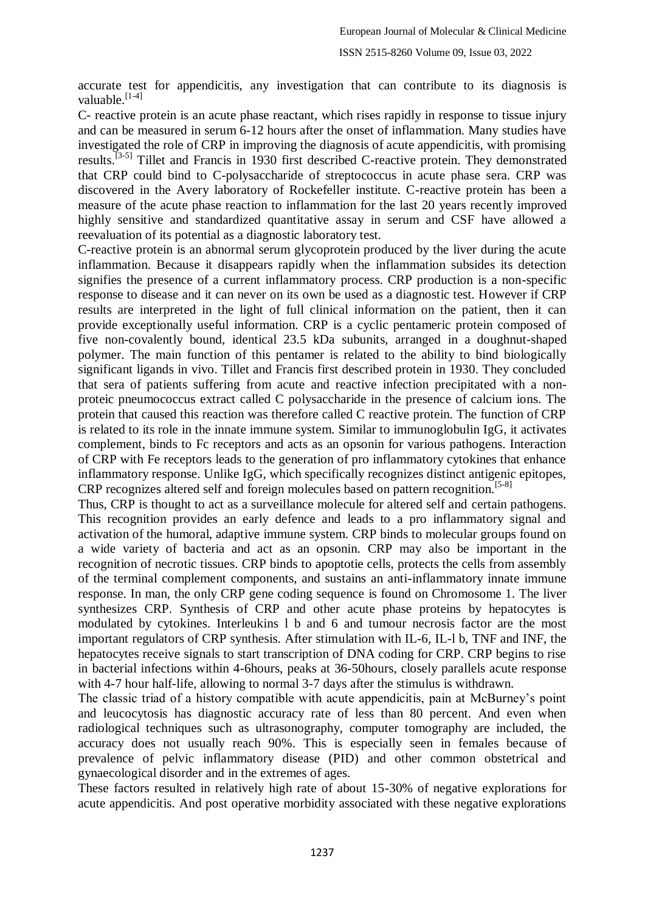accurate test for appendicitis, any investigation that can contribute to its diagnosis is valuable.<sup>[1-4]</sup>

C- reactive protein is an acute phase reactant, which rises rapidly in response to tissue injury and can be measured in serum 6-12 hours after the onset of inflammation. Many studies have investigated the role of CRP in improving the diagnosis of acute appendicitis, with promising results.<sup>[3-5]</sup> Tillet and Francis in 1930 first described C-reactive protein. They demonstrated that CRP could bind to C-polysaccharide of streptococcus in acute phase sera. CRP was discovered in the Avery laboratory of Rockefeller institute. C-reactive protein has been a measure of the acute phase reaction to inflammation for the last 20 years recently improved highly sensitive and standardized quantitative assay in serum and CSF have allowed a reevaluation of its potential as a diagnostic laboratory test.

C-reactive protein is an abnormal serum glycoprotein produced by the liver during the acute inflammation. Because it disappears rapidly when the inflammation subsides its detection signifies the presence of a current inflammatory process. CRP production is a non-specific response to disease and it can never on its own be used as a diagnostic test. However if CRP results are interpreted in the light of full clinical information on the patient, then it can provide exceptionally useful information. CRP is a cyclic pentameric protein composed of five non-covalently bound, identical 23.5 kDa subunits, arranged in a doughnut-shaped polymer. The main function of this pentamer is related to the ability to bind biologically significant ligands in vivo. Tillet and Francis first described protein in 1930. They concluded that sera of patients suffering from acute and reactive infection precipitated with a nonproteic pneumococcus extract called C polysaccharide in the presence of calcium ions. The protein that caused this reaction was therefore called C reactive protein. The function of CRP is related to its role in the innate immune system. Similar to immunoglobulin IgG, it activates complement, binds to Fc receptors and acts as an opsonin for various pathogens. Interaction of CRP with Fe receptors leads to the generation of pro inflammatory cytokines that enhance inflammatory response. Unlike IgG, which specifically recognizes distinct antigenic epitopes, CRP recognizes altered self and foreign molecules based on pattern recognition.[5-8]

Thus, CRP is thought to act as a surveillance molecule for altered self and certain pathogens. This recognition provides an early defence and leads to a pro inflammatory signal and activation of the humoral, adaptive immune system. CRP binds to molecular groups found on a wide variety of bacteria and act as an opsonin. CRP may also be important in the recognition of necrotic tissues. CRP binds to apoptotie cells, protects the cells from assembly of the terminal complement components, and sustains an anti-inflammatory innate immune response. In man, the only CRP gene coding sequence is found on Chromosome 1. The liver synthesizes CRP. Synthesis of CRP and other acute phase proteins by hepatocytes is modulated by cytokines. Interleukins l b and 6 and tumour necrosis factor are the most important regulators of CRP synthesis. After stimulation with IL-6, IL-l b, TNF and INF, the hepatocytes receive signals to start transcription of DNA coding for CRP. CRP begins to rise in bacterial infections within 4-6hours, peaks at 36-50hours, closely parallels acute response with 4-7 hour half-life, allowing to normal 3-7 days after the stimulus is withdrawn.

The classic triad of a history compatible with acute appendicitis, pain at McBurney"s point and leucocytosis has diagnostic accuracy rate of less than 80 percent. And even when radiological techniques such as ultrasonography, computer tomography are included, the accuracy does not usually reach 90%. This is especially seen in females because of prevalence of pelvic inflammatory disease (PID) and other common obstetrical and gynaecological disorder and in the extremes of ages.

These factors resulted in relatively high rate of about 15-30% of negative explorations for acute appendicitis. And post operative morbidity associated with these negative explorations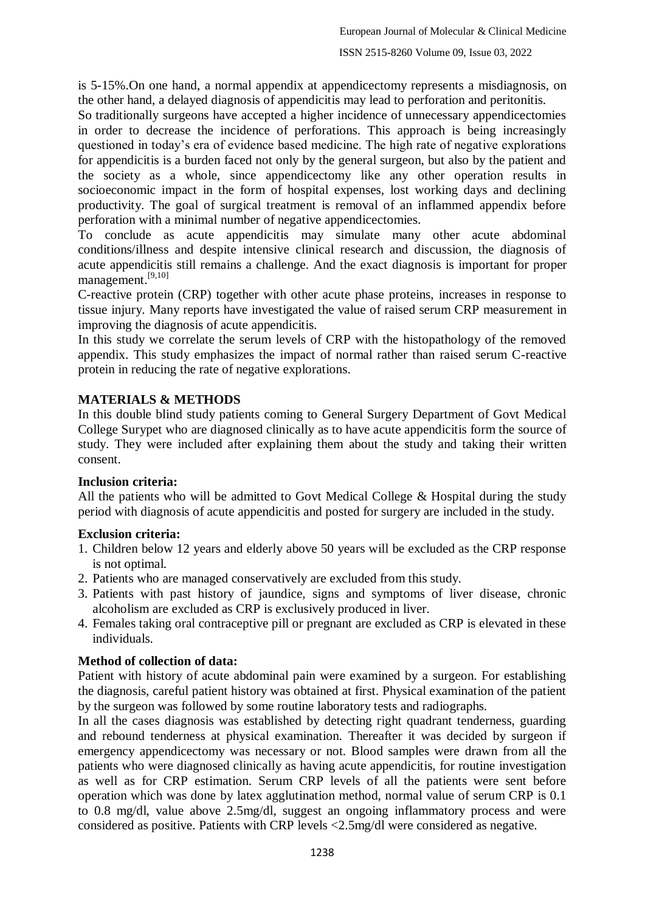is 5-15%.On one hand, a normal appendix at appendicectomy represents a misdiagnosis, on the other hand, a delayed diagnosis of appendicitis may lead to perforation and peritonitis.

So traditionally surgeons have accepted a higher incidence of unnecessary appendicectomies in order to decrease the incidence of perforations. This approach is being increasingly questioned in today"s era of evidence based medicine. The high rate of negative explorations for appendicitis is a burden faced not only by the general surgeon, but also by the patient and the society as a whole, since appendicectomy like any other operation results in socioeconomic impact in the form of hospital expenses, lost working days and declining productivity. The goal of surgical treatment is removal of an inflammed appendix before perforation with a minimal number of negative appendicectomies.

To conclude as acute appendicitis may simulate many other acute abdominal conditions/illness and despite intensive clinical research and discussion, the diagnosis of acute appendicitis still remains a challenge. And the exact diagnosis is important for proper management.<sup>[9,10]</sup>

C-reactive protein (CRP) together with other acute phase proteins, increases in response to tissue injury. Many reports have investigated the value of raised serum CRP measurement in improving the diagnosis of acute appendicitis.

In this study we correlate the serum levels of CRP with the histopathology of the removed appendix. This study emphasizes the impact of normal rather than raised serum C-reactive protein in reducing the rate of negative explorations.

# **MATERIALS & METHODS**

In this double blind study patients coming to General Surgery Department of Govt Medical College Surypet who are diagnosed clinically as to have acute appendicitis form the source of study. They were included after explaining them about the study and taking their written consent.

# **Inclusion criteria:**

All the patients who will be admitted to Govt Medical College & Hospital during the study period with diagnosis of acute appendicitis and posted for surgery are included in the study.

# **Exclusion criteria:**

- 1. Children below 12 years and elderly above 50 years will be excluded as the CRP response is not optimal.
- 2. Patients who are managed conservatively are excluded from this study.
- 3. Patients with past history of jaundice, signs and symptoms of liver disease, chronic alcoholism are excluded as CRP is exclusively produced in liver.
- 4. Females taking oral contraceptive pill or pregnant are excluded as CRP is elevated in these individuals.

# **Method of collection of data:**

Patient with history of acute abdominal pain were examined by a surgeon. For establishing the diagnosis, careful patient history was obtained at first. Physical examination of the patient by the surgeon was followed by some routine laboratory tests and radiographs.

In all the cases diagnosis was established by detecting right quadrant tenderness, guarding and rebound tenderness at physical examination. Thereafter it was decided by surgeon if emergency appendicectomy was necessary or not. Blood samples were drawn from all the patients who were diagnosed clinically as having acute appendicitis, for routine investigation as well as for CRP estimation. Serum CRP levels of all the patients were sent before operation which was done by latex agglutination method, normal value of serum CRP is 0.1 to 0.8 mg/dl, value above 2.5mg/dl, suggest an ongoing inflammatory process and were considered as positive. Patients with CRP levels <2.5mg/dl were considered as negative.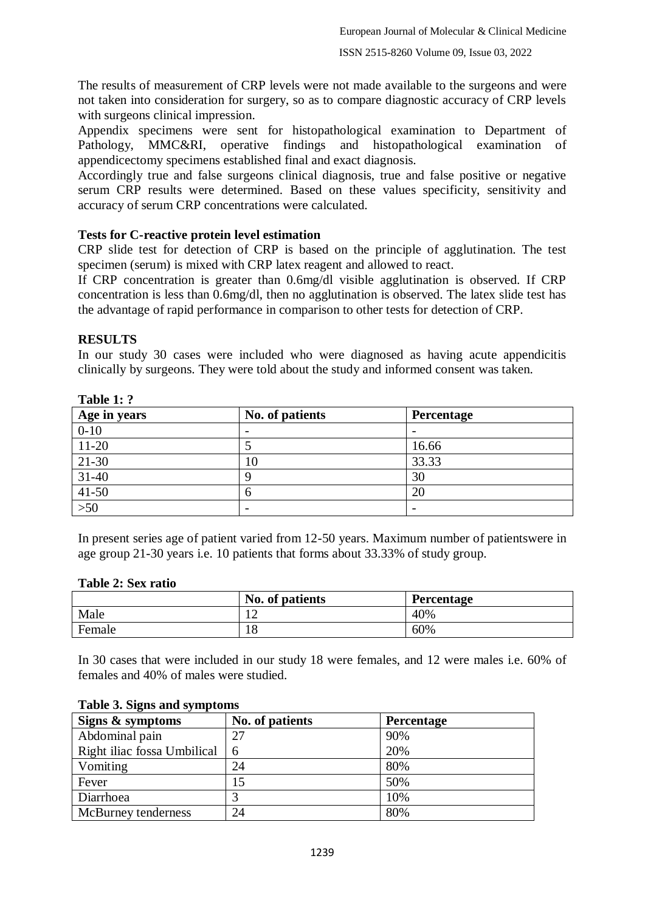The results of measurement of CRP levels were not made available to the surgeons and were not taken into consideration for surgery, so as to compare diagnostic accuracy of CRP levels with surgeons clinical impression.

Appendix specimens were sent for histopathological examination to Department of Pathology, MMC&RI, operative findings and histopathological examination of appendicectomy specimens established final and exact diagnosis.

Accordingly true and false surgeons clinical diagnosis, true and false positive or negative serum CRP results were determined. Based on these values specificity, sensitivity and accuracy of serum CRP concentrations were calculated.

### **Tests for C-reactive protein level estimation**

CRP slide test for detection of CRP is based on the principle of agglutination. The test specimen (serum) is mixed with CRP latex reagent and allowed to react.

If CRP concentration is greater than 0.6mg/dl visible agglutination is observed. If CRP concentration is less than 0.6mg/dl, then no agglutination is observed. The latex slide test has the advantage of rapid performance in comparison to other tests for detection of CRP.

### **RESULTS**

In our study 30 cases were included who were diagnosed as having acute appendicitis clinically by surgeons. They were told about the study and informed consent was taken.

| ---------    |                 |            |  |
|--------------|-----------------|------------|--|
| Age in years | No. of patients | Percentage |  |
| $0 - 10$     |                 |            |  |
| $11-20$      |                 | 16.66      |  |
| $21-30$      | 10              | 33.33      |  |
| $31 - 40$    |                 | 30         |  |
| $41-50$      | 6               | 20         |  |
| $>50$        |                 |            |  |

#### **Table 1: ?**

In present series age of patient varied from 12-50 years. Maximum number of patientswere in age group 21-30 years i.e. 10 patients that forms about 33.33% of study group.

#### **Table 2: Sex ratio**

|        | No. of patients | <b>Percentage</b> |
|--------|-----------------|-------------------|
| Male   | ∸               | 40%               |
| Female | $\Omega$<br>10  | 60%               |

In 30 cases that were included in our study 18 were females, and 12 were males i.e. 60% of females and 40% of males were studied.

| Signs & symptoms            | No. of patients | <b>Percentage</b> |
|-----------------------------|-----------------|-------------------|
| Abdominal pain              | 27              | 90%               |
| Right iliac fossa Umbilical | 6               | 20%               |
| Vomiting                    | 24              | 80%               |
| Fever                       |                 | 50%               |
| Diarrhoea                   |                 | 10%               |
| McBurney tenderness         | 24              | 80%               |

#### **Table 3. Signs and symptoms**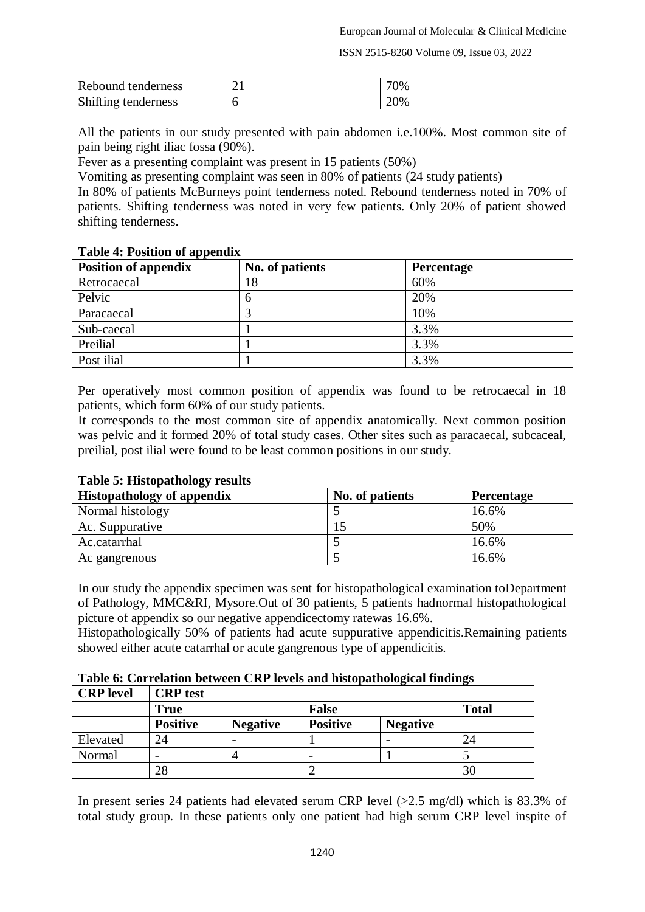ISSN 2515-8260 Volume 09, Issue 03, 2022

| Rebound tenderness  | $\sim$<br>້ ∙ | 70% |
|---------------------|---------------|-----|
| Shifting tenderness |               | 20% |

All the patients in our study presented with pain abdomen i.e.100%. Most common site of pain being right iliac fossa (90%).

Fever as a presenting complaint was present in 15 patients (50%)

Vomiting as presenting complaint was seen in 80% of patients (24 study patients)

In 80% of patients McBurneys point tenderness noted. Rebound tenderness noted in 70% of patients. Shifting tenderness was noted in very few patients. Only 20% of patient showed shifting tenderness.

#### **Table 4: Position of appendix**

| <b>Position of appendix</b> | No. of patients | <b>Percentage</b> |
|-----------------------------|-----------------|-------------------|
| Retrocaecal                 | '8              | 60%               |
| Pelvic                      | O               | 20%               |
| Paracaecal                  |                 | 10%               |
| Sub-caecal                  |                 | 3.3%              |
| Preilial                    |                 | 3.3%              |
| Post ilial                  |                 | 3.3%              |

Per operatively most common position of appendix was found to be retrocaecal in 18 patients, which form 60% of our study patients.

It corresponds to the most common site of appendix anatomically. Next common position was pelvic and it formed 20% of total study cases. Other sites such as paracaecal, subcaceal, preilial, post ilial were found to be least common positions in our study.

| <b>Histopathology of appendix</b> | No. of patients | Percentage |
|-----------------------------------|-----------------|------------|
| Normal histology                  |                 | 16.6%      |
| Ac. Suppurative                   |                 | 50%        |
| Ac.catarrhal                      |                 | 16.6%      |
| Ac gangrenous                     |                 | 16.6%      |

#### **Table 5: Histopathology results**

In our study the appendix specimen was sent for histopathological examination toDepartment of Pathology, MMC&RI, Mysore.Out of 30 patients, 5 patients hadnormal histopathological picture of appendix so our negative appendicectomy ratewas 16.6%.

Histopathologically 50% of patients had acute suppurative appendicitis.Remaining patients showed either acute catarrhal or acute gangrenous type of appendicitis.

**Table 6: Correlation between CRP levels and histopathological findings**

| <b>CRP</b> level | <b>CRP</b> test          |                 |                          |                 |              |
|------------------|--------------------------|-----------------|--------------------------|-----------------|--------------|
|                  | <b>True</b>              |                 | <b>False</b>             |                 | <b>Total</b> |
|                  | <b>Positive</b>          | <b>Negative</b> | <b>Positive</b>          | <b>Negative</b> |              |
| Elevated         | 24                       |                 |                          |                 | 24           |
| Normal           | $\overline{\phantom{0}}$ |                 | $\overline{\phantom{0}}$ |                 |              |
|                  | 28                       |                 |                          |                 | 30           |

In present series 24 patients had elevated serum CRP level (>2.5 mg/dl) which is 83.3% of total study group. In these patients only one patient had high serum CRP level inspite of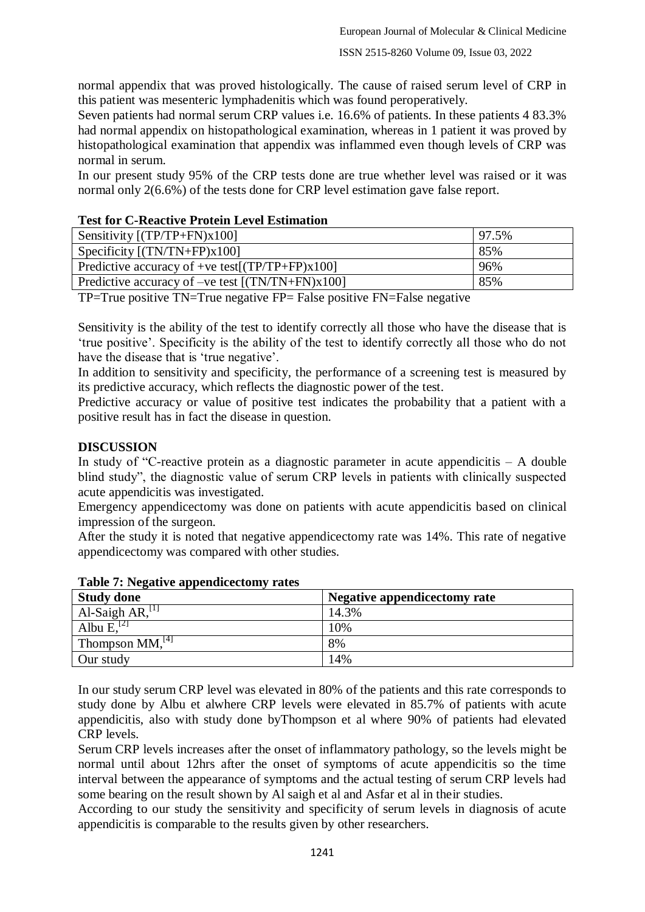normal appendix that was proved histologically. The cause of raised serum level of CRP in this patient was mesenteric lymphadenitis which was found peroperatively.

Seven patients had normal serum CRP values i.e. 16.6% of patients. In these patients 4 83.3% had normal appendix on histopathological examination, whereas in 1 patient it was proved by histopathological examination that appendix was inflammed even though levels of CRP was normal in serum.

In our present study 95% of the CRP tests done are true whether level was raised or it was normal only 2(6.6%) of the tests done for CRP level estimation gave false report.

### **Test for C-Reactive Protein Level Estimation**

| Sensitivity $[(TP/TP+FN)x100]$                        | 97.5% |
|-------------------------------------------------------|-------|
| Specificity $[(TN/TN+FP)x100]$                        | 85%   |
| Predictive accuracy of +ve test[ $(TP/TP + FP)x100$ ] | 96%   |
| Predictive accuracy of $-ve$ test $[(TN/TN+FN)x100]$  | 85%   |

TP=True positive TN=True negative FP= False positive FN=False negative

Sensitivity is the ability of the test to identify correctly all those who have the disease that is "true positive". Specificity is the ability of the test to identify correctly all those who do not have the disease that is 'true negative'.

In addition to sensitivity and specificity, the performance of a screening test is measured by its predictive accuracy, which reflects the diagnostic power of the test.

Predictive accuracy or value of positive test indicates the probability that a patient with a positive result has in fact the disease in question.

# **DISCUSSION**

In study of "C-reactive protein as a diagnostic parameter in acute appendicitis – A double blind study", the diagnostic value of serum CRP levels in patients with clinically suspected acute appendicitis was investigated.

Emergency appendicectomy was done on patients with acute appendicitis based on clinical impression of the surgeon.

After the study it is noted that negative appendicectomy rate was 14%. This rate of negative appendicectomy was compared with other studies.

| <b>Study done</b>             | Negative appendicectomy rate |
|-------------------------------|------------------------------|
| Al-Saigh AR, $^{[1]}$         | 14.3%                        |
| Albu $E1[2]$                  | 10%                          |
| Thompson $MM,$ <sup>[4]</sup> | 8%                           |
| Our study                     | 14%                          |

**Table 7: Negative appendicectomy rates**

In our study serum CRP level was elevated in 80% of the patients and this rate corresponds to study done by Albu et alwhere CRP levels were elevated in 85.7% of patients with acute appendicitis, also with study done byThompson et al where 90% of patients had elevated CRP levels.

Serum CRP levels increases after the onset of inflammatory pathology, so the levels might be normal until about 12hrs after the onset of symptoms of acute appendicitis so the time interval between the appearance of symptoms and the actual testing of serum CRP levels had some bearing on the result shown by Al saigh et al and Asfar et al in their studies.

According to our study the sensitivity and specificity of serum levels in diagnosis of acute appendicitis is comparable to the results given by other researchers.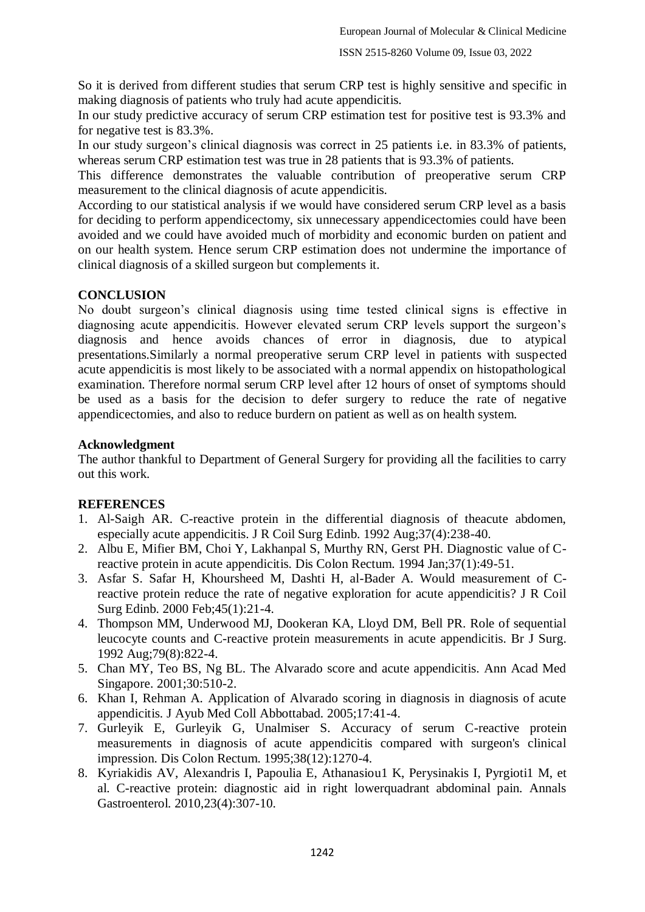So it is derived from different studies that serum CRP test is highly sensitive and specific in making diagnosis of patients who truly had acute appendicitis.

In our study predictive accuracy of serum CRP estimation test for positive test is 93.3% and for negative test is 83.3%.

In our study surgeon"s clinical diagnosis was correct in 25 patients i.e. in 83.3% of patients, whereas serum CRP estimation test was true in 28 patients that is 93.3% of patients.

This difference demonstrates the valuable contribution of preoperative serum CRP measurement to the clinical diagnosis of acute appendicitis.

According to our statistical analysis if we would have considered serum CRP level as a basis for deciding to perform appendicectomy, six unnecessary appendicectomies could have been avoided and we could have avoided much of morbidity and economic burden on patient and on our health system. Hence serum CRP estimation does not undermine the importance of clinical diagnosis of a skilled surgeon but complements it.

### **CONCLUSION**

No doubt surgeon"s clinical diagnosis using time tested clinical signs is effective in diagnosing acute appendicitis. However elevated serum CRP levels support the surgeon"s diagnosis and hence avoids chances of error in diagnosis, due to atypical presentations.Similarly a normal preoperative serum CRP level in patients with suspected acute appendicitis is most likely to be associated with a normal appendix on histopathological examination. Therefore normal serum CRP level after 12 hours of onset of symptoms should be used as a basis for the decision to defer surgery to reduce the rate of negative appendicectomies, and also to reduce burdern on patient as well as on health system.

### **Acknowledgment**

The author thankful to Department of General Surgery for providing all the facilities to carry out this work.

### **REFERENCES**

- 1. Al-Saigh AR. C-reactive protein in the differential diagnosis of theacute abdomen, especially acute appendicitis. J R Coil Surg Edinb. 1992 Aug;37(4):238-40.
- 2. Albu E, Mifier BM, Choi Y, Lakhanpal S, Murthy RN, Gerst PH. Diagnostic value of Creactive protein in acute appendicitis. Dis Colon Rectum. 1994 Jan;37(1):49-51.
- 3. Asfar S. Safar H, Khoursheed M, Dashti H, al-Bader A. Would measurement of Creactive protein reduce the rate of negative exploration for acute appendicitis? J R Coil Surg Edinb. 2000 Feb;45(1):21-4.
- 4. Thompson MM, Underwood MJ, Dookeran KA, Lloyd DM, Bell PR. Role of sequential leucocyte counts and C-reactive protein measurements in acute appendicitis. Br J Surg. 1992 Aug;79(8):822-4.
- 5. Chan MY, Teo BS, Ng BL. The Alvarado score and acute appendicitis. Ann Acad Med Singapore. 2001;30:510-2.
- 6. Khan I, Rehman A. Application of Alvarado scoring in diagnosis in diagnosis of acute appendicitis. J Ayub Med Coll Abbottabad. 2005;17:41-4.
- 7. Gurleyik E, Gurleyik G, Unalmiser S. Accuracy of serum C-reactive protein measurements in diagnosis of acute appendicitis compared with surgeon's clinical impression. Dis Colon Rectum. 1995;38(12):1270-4.
- 8. Kyriakidis AV, Alexandris I, Papoulia E, Athanasiou1 K, Perysinakis I, Pyrgioti1 M, et al. C-reactive protein: diagnostic aid in right lowerquadrant abdominal pain. Annals Gastroenterol. 2010,23(4):307-10.